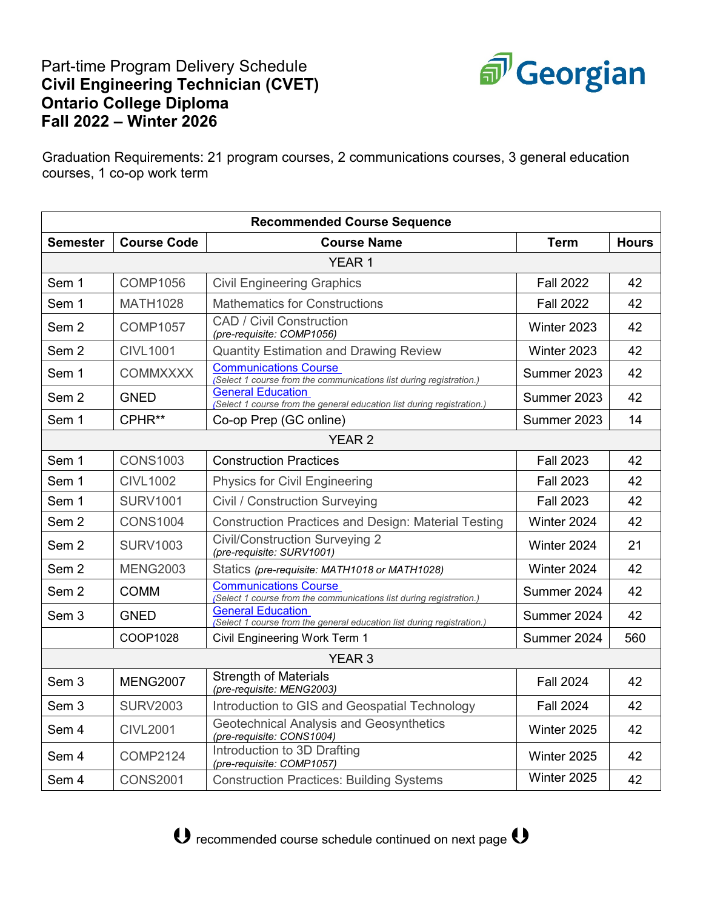# Part-time Program Delivery Schedule **Civil Engineering Technician (CVET) Ontario College Diploma Fall 2022 – Winter 2026**



Graduation Requirements: 21 program courses, 2 communications courses, 3 general education courses, 1 co-op work term

| <b>Recommended Course Sequence</b> |                    |                                                                                                     |                  |              |  |  |  |
|------------------------------------|--------------------|-----------------------------------------------------------------------------------------------------|------------------|--------------|--|--|--|
| <b>Semester</b>                    | <b>Course Code</b> | <b>Course Name</b>                                                                                  | <b>Term</b>      | <b>Hours</b> |  |  |  |
| YEAR <sub>1</sub>                  |                    |                                                                                                     |                  |              |  |  |  |
| Sem 1                              | <b>COMP1056</b>    | <b>Civil Engineering Graphics</b>                                                                   | <b>Fall 2022</b> | 42           |  |  |  |
| Sem 1                              | <b>MATH1028</b>    | <b>Mathematics for Constructions</b>                                                                | <b>Fall 2022</b> | 42           |  |  |  |
| Sem <sub>2</sub>                   | <b>COMP1057</b>    | <b>CAD / Civil Construction</b><br>(pre-requisite: COMP1056)                                        | Winter 2023      | 42           |  |  |  |
| Sem <sub>2</sub>                   | <b>CIVL1001</b>    | <b>Quantity Estimation and Drawing Review</b>                                                       | Winter 2023      | 42           |  |  |  |
| Sem 1                              | <b>COMMXXXX</b>    | <b>Communications Course</b><br>(Select 1 course from the communications list during registration.) | Summer 2023      | 42           |  |  |  |
| Sem <sub>2</sub>                   | <b>GNED</b>        | <b>General Education</b><br>(Select 1 course from the general education list during registration.)  | Summer 2023      | 42           |  |  |  |
| Sem 1                              | CPHR**             | Co-op Prep (GC online)                                                                              | Summer 2023      | 14           |  |  |  |
| <b>YEAR 2</b>                      |                    |                                                                                                     |                  |              |  |  |  |
| Sem 1                              | <b>CONS1003</b>    | <b>Construction Practices</b>                                                                       | <b>Fall 2023</b> | 42           |  |  |  |
| Sem 1                              | <b>CIVL1002</b>    | <b>Physics for Civil Engineering</b>                                                                | <b>Fall 2023</b> | 42           |  |  |  |
| Sem 1                              | <b>SURV1001</b>    | Civil / Construction Surveying                                                                      | <b>Fall 2023</b> | 42           |  |  |  |
| Sem <sub>2</sub>                   | <b>CONS1004</b>    | <b>Construction Practices and Design: Material Testing</b>                                          | Winter 2024      | 42           |  |  |  |
| Sem <sub>2</sub>                   | <b>SURV1003</b>    | <b>Civil/Construction Surveying 2</b><br>(pre-requisite: SURV1001)                                  | Winter 2024      | 21           |  |  |  |
| Sem <sub>2</sub>                   | <b>MENG2003</b>    | Statics (pre-requisite: MATH1018 or MATH1028)                                                       | Winter 2024      | 42           |  |  |  |
| Sem <sub>2</sub>                   | <b>COMM</b>        | <b>Communications Course</b><br>(Select 1 course from the communications list during registration.) | Summer 2024      | 42           |  |  |  |
| Sem <sub>3</sub>                   | <b>GNED</b>        | <b>General Education</b><br>(Select 1 course from the general education list during registration.)  | Summer 2024      | 42           |  |  |  |
|                                    | COOP1028           | Civil Engineering Work Term 1                                                                       | Summer 2024      | 560          |  |  |  |
| <b>YEAR 3</b>                      |                    |                                                                                                     |                  |              |  |  |  |
| Sem <sub>3</sub>                   | <b>MENG2007</b>    | <b>Strength of Materials</b><br>(pre-requisite: MENG2003)                                           | <b>Fall 2024</b> | 42           |  |  |  |
| Sem <sub>3</sub>                   | <b>SURV2003</b>    | Introduction to GIS and Geospatial Technology                                                       | <b>Fall 2024</b> | 42           |  |  |  |
| Sem 4                              | <b>CIVL2001</b>    | <b>Geotechnical Analysis and Geosynthetics</b><br>(pre-requisite: CONS1004)                         | Winter 2025      | 42           |  |  |  |
| Sem 4                              | <b>COMP2124</b>    | Introduction to 3D Drafting<br>(pre-requisite: COMP1057)                                            | Winter 2025      | 42           |  |  |  |
| Sem 4                              | <b>CONS2001</b>    | <b>Construction Practices: Building Systems</b>                                                     | Winter 2025      | 42           |  |  |  |